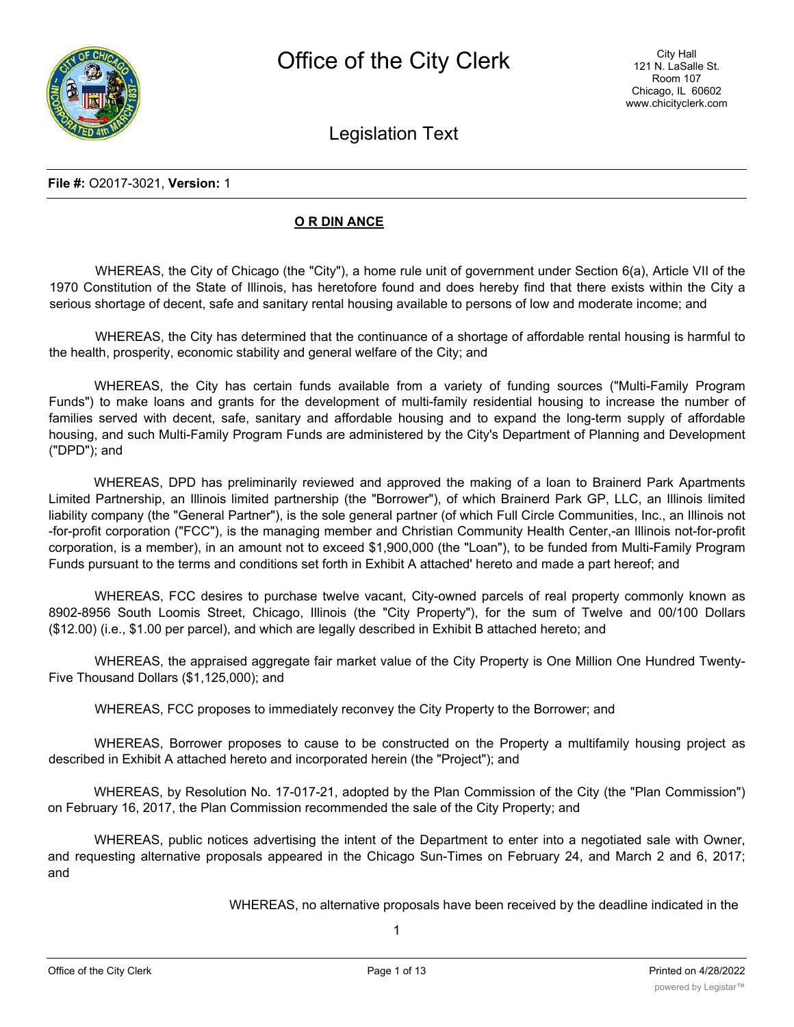Legislation Text

### **File #:** O2017-3021, **Version:** 1

### **O R DIN ANCE**

WHEREAS, the City of Chicago (the "City"), a home rule unit of government under Section 6(a), Article VII of the 1970 Constitution of the State of Illinois, has heretofore found and does hereby find that there exists within the City a serious shortage of decent, safe and sanitary rental housing available to persons of low and moderate income; and

WHEREAS, the City has determined that the continuance of a shortage of affordable rental housing is harmful to the health, prosperity, economic stability and general welfare of the City; and

WHEREAS, the City has certain funds available from a variety of funding sources ("Multi-Family Program Funds") to make loans and grants for the development of multi-family residential housing to increase the number of families served with decent, safe, sanitary and affordable housing and to expand the long-term supply of affordable housing, and such Multi-Family Program Funds are administered by the City's Department of Planning and Development ("DPD"); and

WHEREAS, DPD has preliminarily reviewed and approved the making of a loan to Brainerd Park Apartments Limited Partnership, an Illinois limited partnership (the "Borrower"), of which Brainerd Park GP, LLC, an Illinois limited liability company (the "General Partner"), is the sole general partner (of which Full Circle Communities, Inc., an Illinois not -for-profit corporation ("FCC"), is the managing member and Christian Community Health Center,-an Illinois not-for-profit corporation, is a member), in an amount not to exceed \$1,900,000 (the "Loan"), to be funded from Multi-Family Program Funds pursuant to the terms and conditions set forth in Exhibit A attached' hereto and made a part hereof; and

WHEREAS, FCC desires to purchase twelve vacant, City-owned parcels of real property commonly known as 8902-8956 South Loomis Street, Chicago, Illinois (the "City Property"), for the sum of Twelve and 00/100 Dollars (\$12.00) (i.e., \$1.00 per parcel), and which are legally described in Exhibit B attached hereto; and

WHEREAS, the appraised aggregate fair market value of the City Property is One Million One Hundred Twenty-Five Thousand Dollars (\$1,125,000); and

WHEREAS, FCC proposes to immediately reconvey the City Property to the Borrower; and

WHEREAS, Borrower proposes to cause to be constructed on the Property a multifamily housing project as described in Exhibit A attached hereto and incorporated herein (the "Project"); and

WHEREAS, by Resolution No. 17-017-21, adopted by the Plan Commission of the City (the "Plan Commission") on February 16, 2017, the Plan Commission recommended the sale of the City Property; and

WHEREAS, public notices advertising the intent of the Department to enter into a negotiated sale with Owner, and requesting alternative proposals appeared in the Chicago Sun-Times on February 24, and March 2 and 6, 2017; and

WHEREAS, no alternative proposals have been received by the deadline indicated in the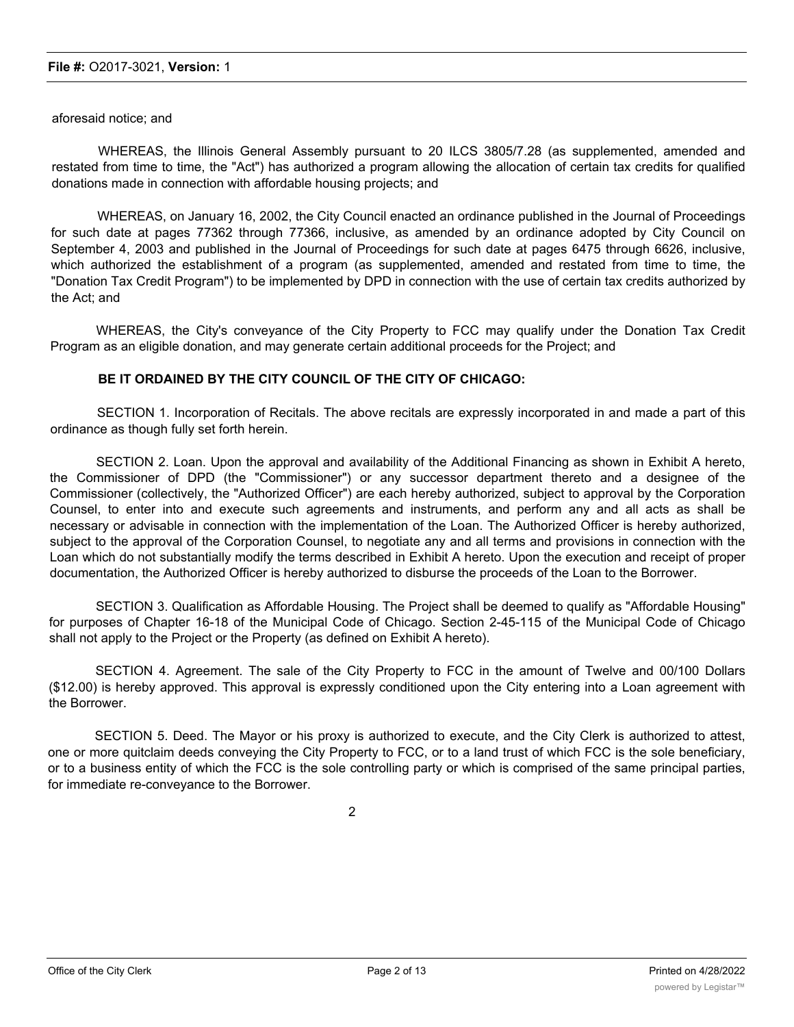aforesaid notice; and

WHEREAS, the Illinois General Assembly pursuant to 20 ILCS 3805/7.28 (as supplemented, amended and restated from time to time, the "Act") has authorized a program allowing the allocation of certain tax credits for qualified donations made in connection with affordable housing projects; and

WHEREAS, on January 16, 2002, the City Council enacted an ordinance published in the Journal of Proceedings for such date at pages 77362 through 77366, inclusive, as amended by an ordinance adopted by City Council on September 4, 2003 and published in the Journal of Proceedings for such date at pages 6475 through 6626, inclusive, which authorized the establishment of a program (as supplemented, amended and restated from time to time, the "Donation Tax Credit Program") to be implemented by DPD in connection with the use of certain tax credits authorized by the Act; and

WHEREAS, the City's conveyance of the City Property to FCC may qualify under the Donation Tax Credit Program as an eligible donation, and may generate certain additional proceeds for the Project; and

#### **BE IT ORDAINED BY THE CITY COUNCIL OF THE CITY OF CHICAGO:**

SECTION 1. Incorporation of Recitals. The above recitals are expressly incorporated in and made a part of this ordinance as though fully set forth herein.

SECTION 2. Loan. Upon the approval and availability of the Additional Financing as shown in Exhibit A hereto, the Commissioner of DPD (the "Commissioner") or any successor department thereto and a designee of the Commissioner (collectively, the "Authorized Officer") are each hereby authorized, subject to approval by the Corporation Counsel, to enter into and execute such agreements and instruments, and perform any and all acts as shall be necessary or advisable in connection with the implementation of the Loan. The Authorized Officer is hereby authorized, subject to the approval of the Corporation Counsel, to negotiate any and all terms and provisions in connection with the Loan which do not substantially modify the terms described in Exhibit A hereto. Upon the execution and receipt of proper documentation, the Authorized Officer is hereby authorized to disburse the proceeds of the Loan to the Borrower.

SECTION 3. Qualification as Affordable Housing. The Project shall be deemed to qualify as "Affordable Housing" for purposes of Chapter 16-18 of the Municipal Code of Chicago. Section 2-45-115 of the Municipal Code of Chicago shall not apply to the Project or the Property (as defined on Exhibit A hereto).

SECTION 4. Agreement. The sale of the City Property to FCC in the amount of Twelve and 00/100 Dollars (\$12.00) is hereby approved. This approval is expressly conditioned upon the City entering into a Loan agreement with the Borrower.

SECTION 5. Deed. The Mayor or his proxy is authorized to execute, and the City Clerk is authorized to attest, one or more quitclaim deeds conveying the City Property to FCC, or to a land trust of which FCC is the sole beneficiary, or to a business entity of which the FCC is the sole controlling party or which is comprised of the same principal parties, for immediate re-conveyance to the Borrower.

2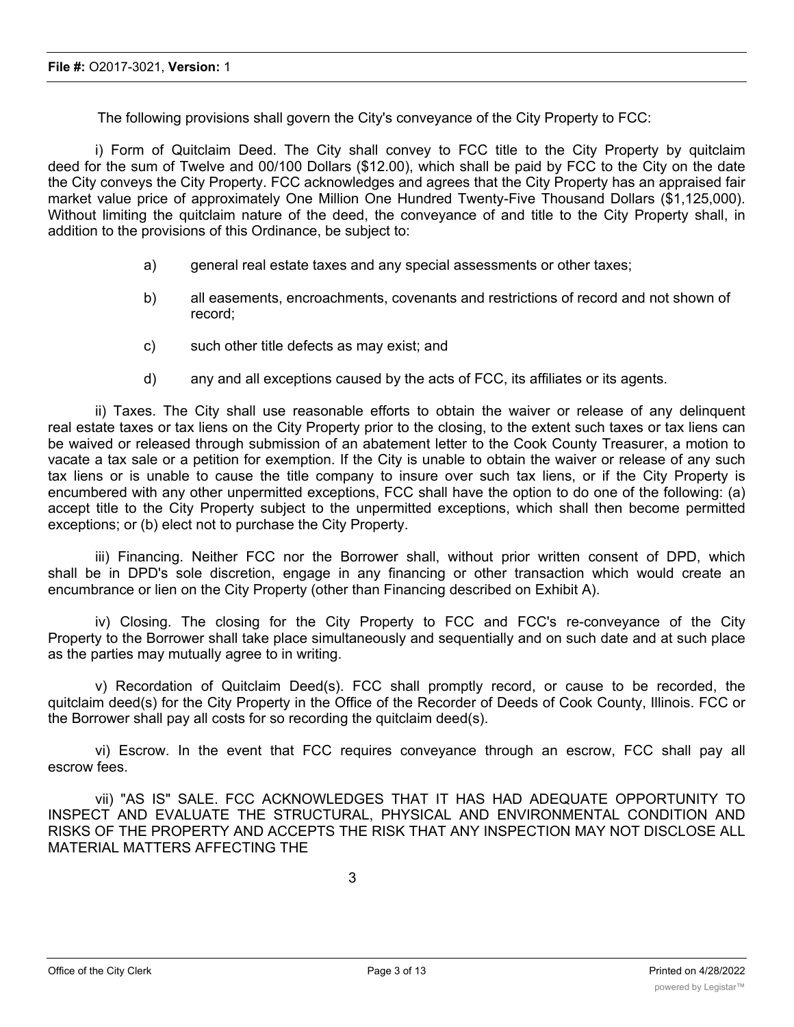The following provisions shall govern the City's conveyance of the City Property to FCC:

i) Form of Quitclaim Deed. The City shall convey to FCC title to the City Property by quitclaim deed for the sum of Twelve and 00/100 Dollars (\$12.00), which shall be paid by FCC to the City on the date the City conveys the City Property. FCC acknowledges and agrees that the City Property has an appraised fair market value price of approximately One Million One Hundred Twenty-Five Thousand Dollars (\$1,125,000). Without limiting the quitclaim nature of the deed, the conveyance of and title to the City Property shall, in addition to the provisions of this Ordinance, be subject to:

- a) general real estate taxes and any special assessments or other taxes;
- b) all easements, encroachments, covenants and restrictions of record and not shown of record;
- c) such other title defects as may exist; and
- d) any and all exceptions caused by the acts of FCC, its affiliates or its agents.

ii) Taxes. The City shall use reasonable efforts to obtain the waiver or release of any delinquent real estate taxes or tax liens on the City Property prior to the closing, to the extent such taxes or tax liens can be waived or released through submission of an abatement letter to the Cook County Treasurer, a motion to vacate a tax sale or a petition for exemption. If the City is unable to obtain the waiver or release of any such tax liens or is unable to cause the title company to insure over such tax liens, or if the City Property is encumbered with any other unpermitted exceptions, FCC shall have the option to do one of the following: (a) accept title to the City Property subject to the unpermitted exceptions, which shall then become permitted exceptions; or (b) elect not to purchase the City Property.

iii) Financing. Neither FCC nor the Borrower shall, without prior written consent of DPD, which shall be in DPD's sole discretion, engage in any financing or other transaction which would create an encumbrance or lien on the City Property (other than Financing described on Exhibit A).

iv) Closing. The closing for the City Property to FCC and FCC's re-conveyance of the City Property to the Borrower shall take place simultaneously and sequentially and on such date and at such place as the parties may mutually agree to in writing.

v) Recordation of Quitclaim Deed(s). FCC shall promptly record, or cause to be recorded, the quitclaim deed(s) for the City Property in the Office of the Recorder of Deeds of Cook County, Illinois. FCC or the Borrower shall pay all costs for so recording the quitclaim deed(s).

vi) Escrow. In the event that FCC requires conveyance through an escrow, FCC shall pay all escrow fees.

vii) "AS IS" SALE. FCC ACKNOWLEDGES THAT IT HAS HAD ADEQUATE OPPORTUNITY TO INSPECT AND EVALUATE THE STRUCTURAL, PHYSICAL AND ENVIRONMENTAL CONDITION AND RISKS OF THE PROPERTY AND ACCEPTS THE RISK THAT ANY INSPECTION MAY NOT DISCLOSE ALL MATERIAL MATTERS AFFECTING THE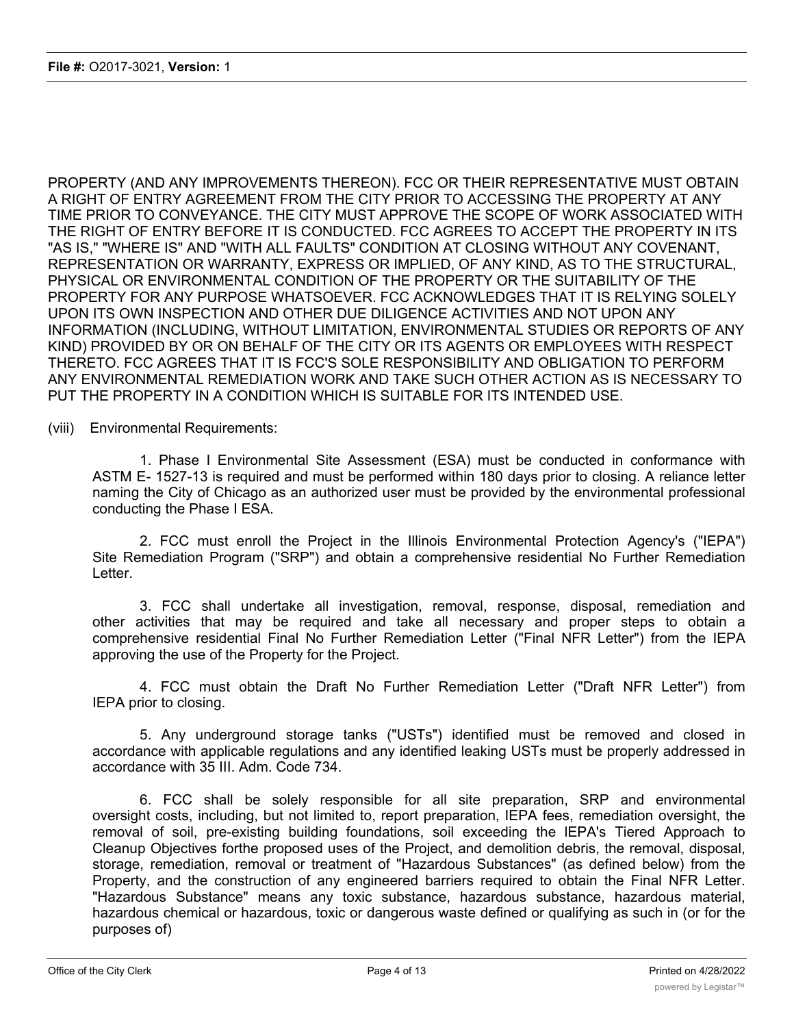PROPERTY (AND ANY IMPROVEMENTS THEREON). FCC OR THEIR REPRESENTATIVE MUST OBTAIN A RIGHT OF ENTRY AGREEMENT FROM THE CITY PRIOR TO ACCESSING THE PROPERTY AT ANY TIME PRIOR TO CONVEYANCE. THE CITY MUST APPROVE THE SCOPE OF WORK ASSOCIATED WITH THE RIGHT OF ENTRY BEFORE IT IS CONDUCTED. FCC AGREES TO ACCEPT THE PROPERTY IN ITS "AS IS," "WHERE IS" AND "WITH ALL FAULTS" CONDITION AT CLOSING WITHOUT ANY COVENANT, REPRESENTATION OR WARRANTY, EXPRESS OR IMPLIED, OF ANY KIND, AS TO THE STRUCTURAL, PHYSICAL OR ENVIRONMENTAL CONDITION OF THE PROPERTY OR THE SUITABILITY OF THE PROPERTY FOR ANY PURPOSE WHATSOEVER. FCC ACKNOWLEDGES THAT IT IS RELYING SOLELY UPON ITS OWN INSPECTION AND OTHER DUE DILIGENCE ACTIVITIES AND NOT UPON ANY INFORMATION (INCLUDING, WITHOUT LIMITATION, ENVIRONMENTAL STUDIES OR REPORTS OF ANY KIND) PROVIDED BY OR ON BEHALF OF THE CITY OR ITS AGENTS OR EMPLOYEES WITH RESPECT THERETO. FCC AGREES THAT IT IS FCC'S SOLE RESPONSIBILITY AND OBLIGATION TO PERFORM ANY ENVIRONMENTAL REMEDIATION WORK AND TAKE SUCH OTHER ACTION AS IS NECESSARY TO PUT THE PROPERTY IN A CONDITION WHICH IS SUITABLE FOR ITS INTENDED USE.

(viii) Environmental Requirements:

1. Phase I Environmental Site Assessment (ESA) must be conducted in conformance with ASTM E- 1527-13 is required and must be performed within 180 days prior to closing. A reliance letter naming the City of Chicago as an authorized user must be provided by the environmental professional conducting the Phase I ESA.

2. FCC must enroll the Project in the Illinois Environmental Protection Agency's ("IEPA") Site Remediation Program ("SRP") and obtain a comprehensive residential No Further Remediation Letter.

3. FCC shall undertake all investigation, removal, response, disposal, remediation and other activities that may be required and take all necessary and proper steps to obtain a comprehensive residential Final No Further Remediation Letter ("Final NFR Letter") from the IEPA approving the use of the Property for the Project.

4. FCC must obtain the Draft No Further Remediation Letter ("Draft NFR Letter") from IEPA prior to closing.

5. Any underground storage tanks ("USTs") identified must be removed and closed in accordance with applicable regulations and any identified leaking USTs must be properly addressed in accordance with 35 III. Adm. Code 734.

6. FCC shall be solely responsible for all site preparation, SRP and environmental oversight costs, including, but not limited to, report preparation, IEPA fees, remediation oversight, the removal of soil, pre-existing building foundations, soil exceeding the lEPA's Tiered Approach to Cleanup Objectives forthe proposed uses of the Project, and demolition debris, the removal, disposal, storage, remediation, removal or treatment of "Hazardous Substances" (as defined below) from the Property, and the construction of any engineered barriers required to obtain the Final NFR Letter. "Hazardous Substance" means any toxic substance, hazardous substance, hazardous material, hazardous chemical or hazardous, toxic or dangerous waste defined or qualifying as such in (or for the purposes of)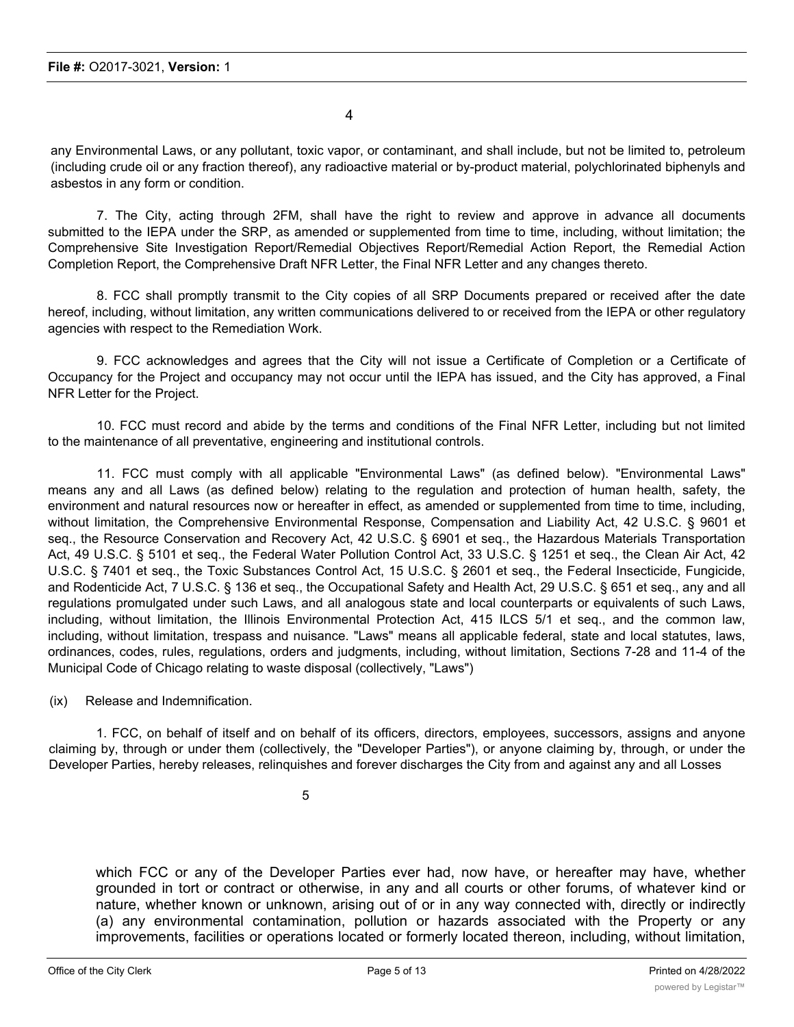4

any Environmental Laws, or any pollutant, toxic vapor, or contaminant, and shall include, but not be limited to, petroleum (including crude oil or any fraction thereof), any radioactive material or by-product material, polychlorinated biphenyls and asbestos in any form or condition.

7. The City, acting through 2FM, shall have the right to review and approve in advance all documents submitted to the IEPA under the SRP, as amended or supplemented from time to time, including, without limitation; the Comprehensive Site Investigation Report/Remedial Objectives Report/Remedial Action Report, the Remedial Action Completion Report, the Comprehensive Draft NFR Letter, the Final NFR Letter and any changes thereto.

8. FCC shall promptly transmit to the City copies of all SRP Documents prepared or received after the date hereof, including, without limitation, any written communications delivered to or received from the IEPA or other regulatory agencies with respect to the Remediation Work.

9. FCC acknowledges and agrees that the City will not issue a Certificate of Completion or a Certificate of Occupancy for the Project and occupancy may not occur until the IEPA has issued, and the City has approved, a Final NFR Letter for the Project.

10. FCC must record and abide by the terms and conditions of the Final NFR Letter, including but not limited to the maintenance of all preventative, engineering and institutional controls.

11. FCC must comply with all applicable "Environmental Laws" (as defined below). "Environmental Laws" means any and all Laws (as defined below) relating to the regulation and protection of human health, safety, the environment and natural resources now or hereafter in effect, as amended or supplemented from time to time, including, without limitation, the Comprehensive Environmental Response, Compensation and Liability Act, 42 U.S.C. § 9601 et seq., the Resource Conservation and Recovery Act, 42 U.S.C. § 6901 et seq., the Hazardous Materials Transportation Act, 49 U.S.C. § 5101 et seq., the Federal Water Pollution Control Act, 33 U.S.C. § 1251 et seq., the Clean Air Act, 42 U.S.C. § 7401 et seq., the Toxic Substances Control Act, 15 U.S.C. § 2601 et seq., the Federal Insecticide, Fungicide, and Rodenticide Act, 7 U.S.C. § 136 et seq., the Occupational Safety and Health Act, 29 U.S.C. § 651 et seq., any and all regulations promulgated under such Laws, and all analogous state and local counterparts or equivalents of such Laws, including, without limitation, the Illinois Environmental Protection Act, 415 ILCS 5/1 et seq., and the common law, including, without limitation, trespass and nuisance. "Laws" means all applicable federal, state and local statutes, laws, ordinances, codes, rules, regulations, orders and judgments, including, without limitation, Sections 7-28 and 11-4 of the Municipal Code of Chicago relating to waste disposal (collectively, "Laws")

(ix) Release and Indemnification.

1. FCC, on behalf of itself and on behalf of its officers, directors, employees, successors, assigns and anyone claiming by, through or under them (collectively, the "Developer Parties"), or anyone claiming by, through, or under the Developer Parties, hereby releases, relinquishes and forever discharges the City from and against any and all Losses

5

which FCC or any of the Developer Parties ever had, now have, or hereafter may have, whether grounded in tort or contract or otherwise, in any and all courts or other forums, of whatever kind or nature, whether known or unknown, arising out of or in any way connected with, directly or indirectly (a) any environmental contamination, pollution or hazards associated with the Property or any improvements, facilities or operations located or formerly located thereon, including, without limitation, any release, emission, discharge, generation, transportation, treatment, storage or disposal of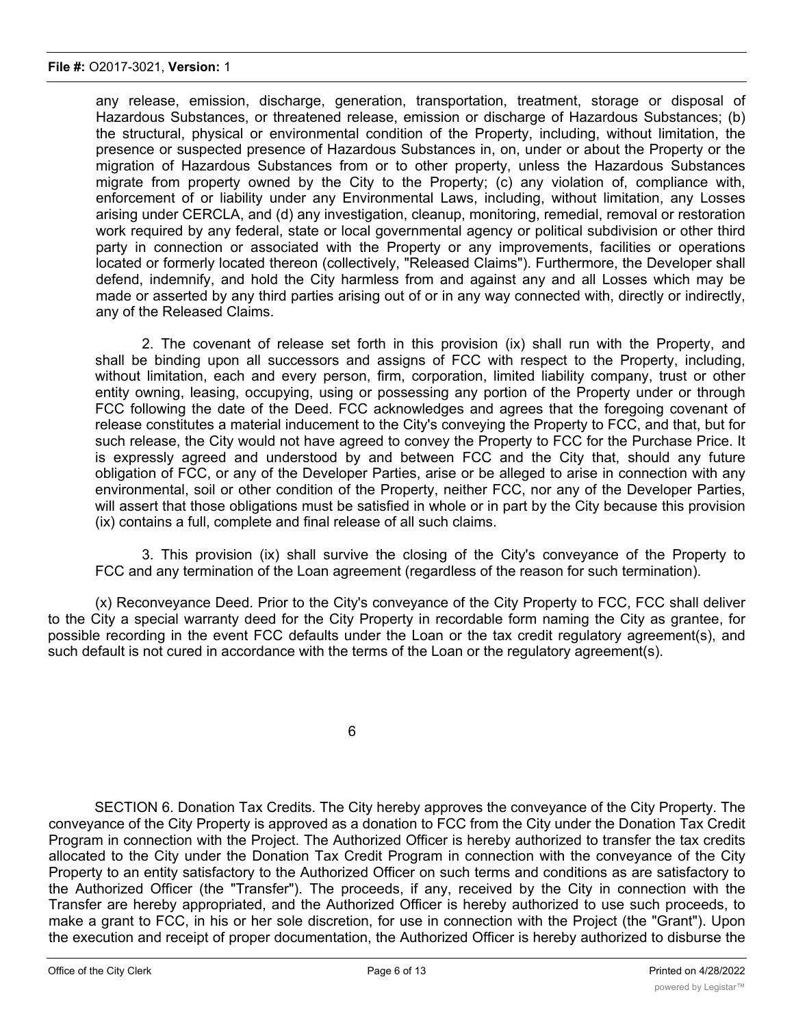any release, emission, discharge, generation, transportation, treatment, storage or disposal of Hazardous Substances, or threatened release, emission or discharge of Hazardous Substances; (b) the structural, physical or environmental condition of the Property, including, without limitation, the presence or suspected presence of Hazardous Substances in, on, under or about the Property or the migration of Hazardous Substances from or to other property, unless the Hazardous Substances migrate from property owned by the City to the Property; (c) any violation of, compliance with, enforcement of or liability under any Environmental Laws, including, without limitation, any Losses arising under CERCLA, and (d) any investigation, cleanup, monitoring, remedial, removal or restoration work required by any federal, state or local governmental agency or political subdivision or other third party in connection or associated with the Property or any improvements, facilities or operations located or formerly located thereon (collectively, "Released Claims"). Furthermore, the Developer shall defend, indemnify, and hold the City harmless from and against any and all Losses which may be made or asserted by any third parties arising out of or in any way connected with, directly or indirectly, any of the Released Claims.

2. The covenant of release set forth in this provision (ix) shall run with the Property, and shall be binding upon all successors and assigns of FCC with respect to the Property, including, without limitation, each and every person, firm, corporation, limited liability company, trust or other entity owning, leasing, occupying, using or possessing any portion of the Property under or through FCC following the date of the Deed. FCC acknowledges and agrees that the foregoing covenant of release constitutes a material inducement to the City's conveying the Property to FCC, and that, but for such release, the City would not have agreed to convey the Property to FCC for the Purchase Price. It is expressly agreed and understood by and between FCC and the City that, should any future obligation of FCC, or any of the Developer Parties, arise or be alleged to arise in connection with any environmental, soil or other condition of the Property, neither FCC, nor any of the Developer Parties, will assert that those obligations must be satisfied in whole or in part by the City because this provision (ix) contains a full, complete and final release of all such claims.

3. This provision (ix) shall survive the closing of the City's conveyance of the Property to FCC and any termination of the Loan agreement (regardless of the reason for such termination).

(x) Reconveyance Deed. Prior to the City's conveyance of the City Property to FCC, FCC shall deliver to the City a special warranty deed for the City Property in recordable form naming the City as grantee, for possible recording in the event FCC defaults under the Loan or the tax credit regulatory agreement(s), and such default is not cured in accordance with the terms of the Loan or the regulatory agreement(s).

6

SECTION 6. Donation Tax Credits. The City hereby approves the conveyance of the City Property. The conveyance of the City Property is approved as a donation to FCC from the City under the Donation Tax Credit Program in connection with the Project. The Authorized Officer is hereby authorized to transfer the tax credits allocated to the City under the Donation Tax Credit Program in connection with the conveyance of the City Property to an entity satisfactory to the Authorized Officer on such terms and conditions as are satisfactory to the Authorized Officer (the "Transfer"). The proceeds, if any, received by the City in connection with the Transfer are hereby appropriated, and the Authorized Officer is hereby authorized to use such proceeds, to make a grant to FCC, in his or her sole discretion, for use in connection with the Project (the "Grant"). Upon the execution and receipt of proper documentation, the Authorized Officer is hereby authorized to disburse the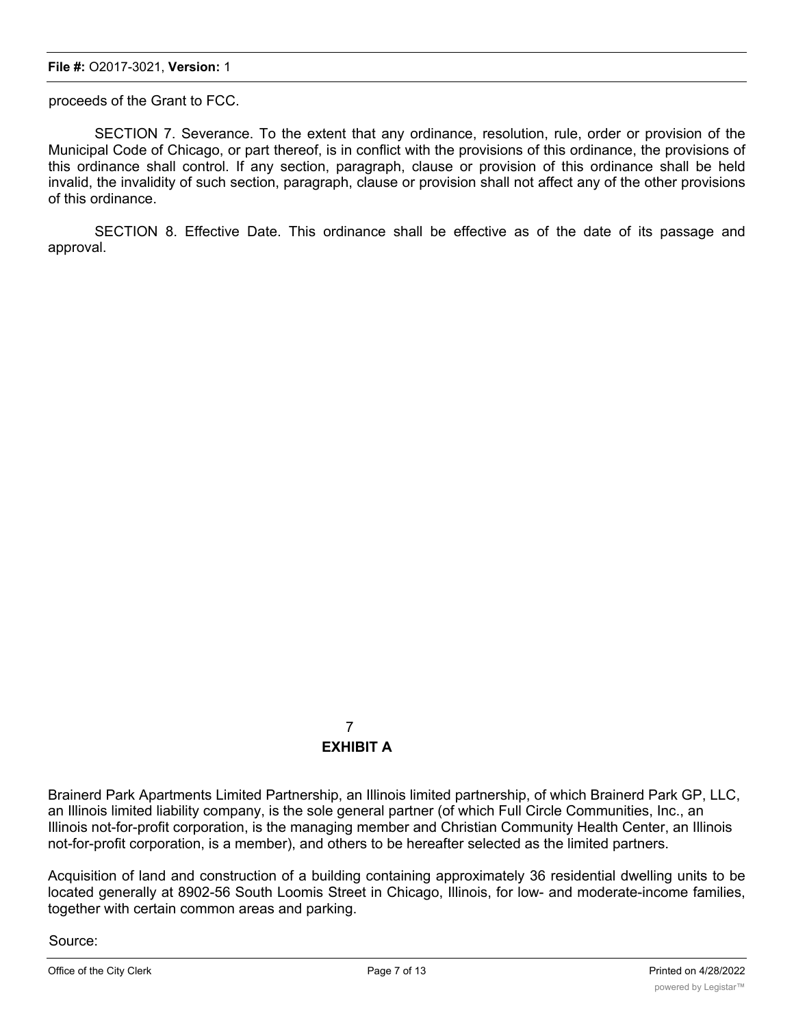proceeds of the Grant to FCC.

SECTION 7. Severance. To the extent that any ordinance, resolution, rule, order or provision of the Municipal Code of Chicago, or part thereof, is in conflict with the provisions of this ordinance, the provisions of this ordinance shall control. If any section, paragraph, clause or provision of this ordinance shall be held invalid, the invalidity of such section, paragraph, clause or provision shall not affect any of the other provisions of this ordinance.

SECTION 8. Effective Date. This ordinance shall be effective as of the date of its passage and approval.

# 7 **EXHIBIT A**

Brainerd Park Apartments Limited Partnership, an Illinois limited partnership, of which Brainerd Park GP, LLC, an Illinois limited liability company, is the sole general partner (of which Full Circle Communities, Inc., an Illinois not-for-profit corporation, is the managing member and Christian Community Health Center, an Illinois not-for-profit corporation, is a member), and others to be hereafter selected as the limited partners.

Acquisition of land and construction of a building containing approximately 36 residential dwelling units to be located generally at 8902-56 South Loomis Street in Chicago, Illinois, for low- and moderate-income families, together with certain common areas and parking.

Source: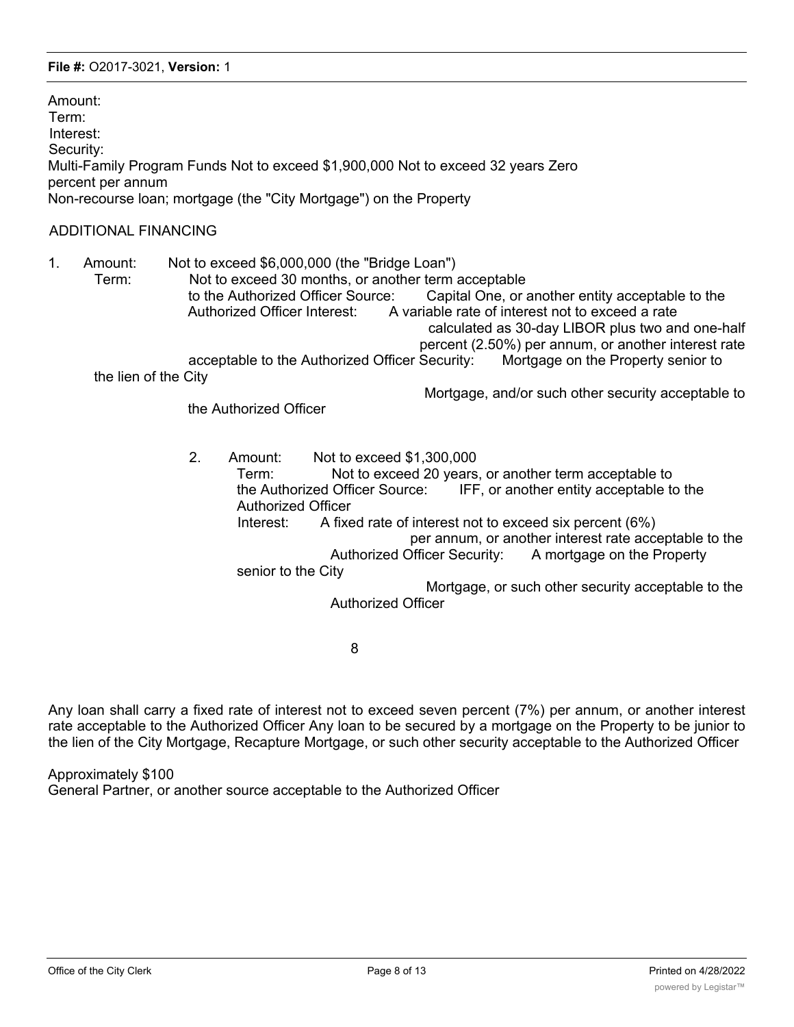Amount: Term: Interest: Security: Multi-Family Program Funds Not to exceed \$1,900,000 Not to exceed 32 years Zero percent per annum Non-recourse loan; mortgage (the "City Mortgage") on the Property

### ADDITIONAL FINANCING

1. Amount: Not to exceed \$6,000,000 (the "Bridge Loan") Term: Not to exceed 30 months, or another term acceptable to the Authorized Officer Source: Capital One, or another entity acceptable to the Authorized Officer Interest: A variable rate of interest not to exceed a rate calculated as 30-day LIBOR plus two and one-half percent (2.50%) per annum, or another interest rate acceptable to the Authorized Officer Security: Mortgage on the Property senior to the lien of the City

Mortgage, and/or such other security acceptable to

the Authorized Officer

2. Amount: Not to exceed \$1,300,000 Term: Not to exceed 20 years, or another term acceptable to the Authorized Officer Source: IFF, or another entity acceptable to the Authorized Officer Interest: A fixed rate of interest not to exceed six percent (6%) per annum, or another interest rate acceptable to the Authorized Officer Security: A mortgage on the Property senior to the City Mortgage, or such other security acceptable to the Authorized Officer

8

Any loan shall carry a fixed rate of interest not to exceed seven percent (7%) per annum, or another interest rate acceptable to the Authorized Officer Any loan to be secured by a mortgage on the Property to be junior to the lien of the City Mortgage, Recapture Mortgage, or such other security acceptable to the Authorized Officer

Approximately \$100

General Partner, or another source acceptable to the Authorized Officer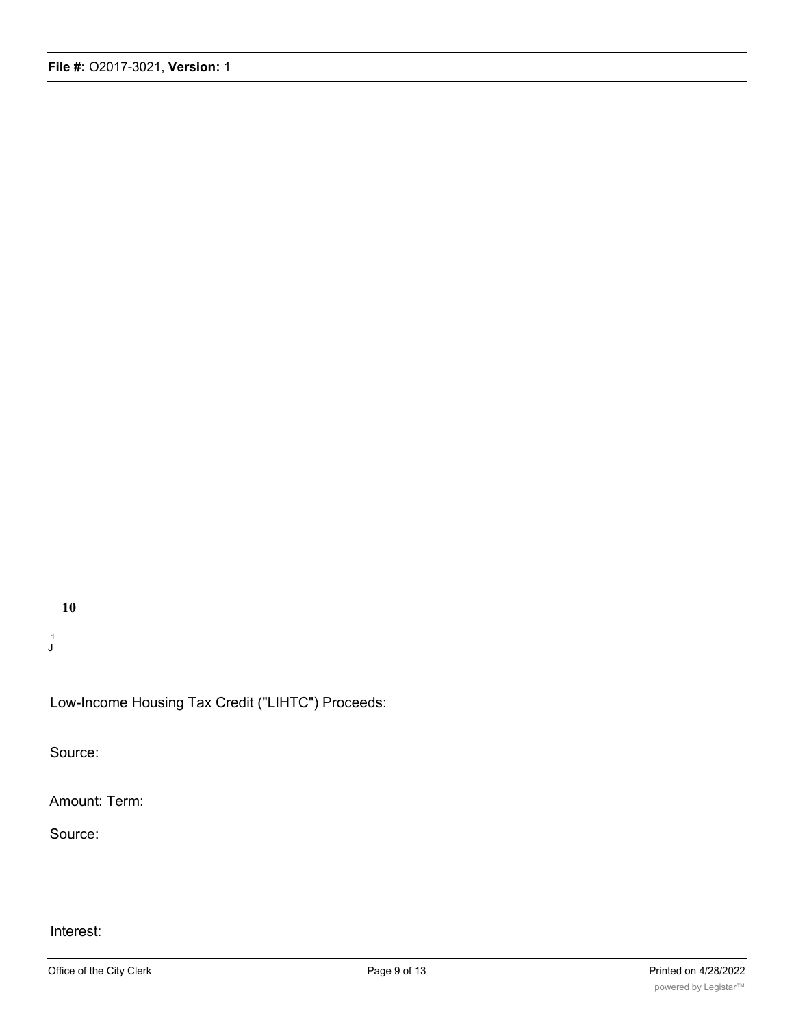**10**

1 J

Low-Income Housing Tax Credit ("LIHTC") Proceeds:

Source:

Amount: Term:

Source:

## Interest: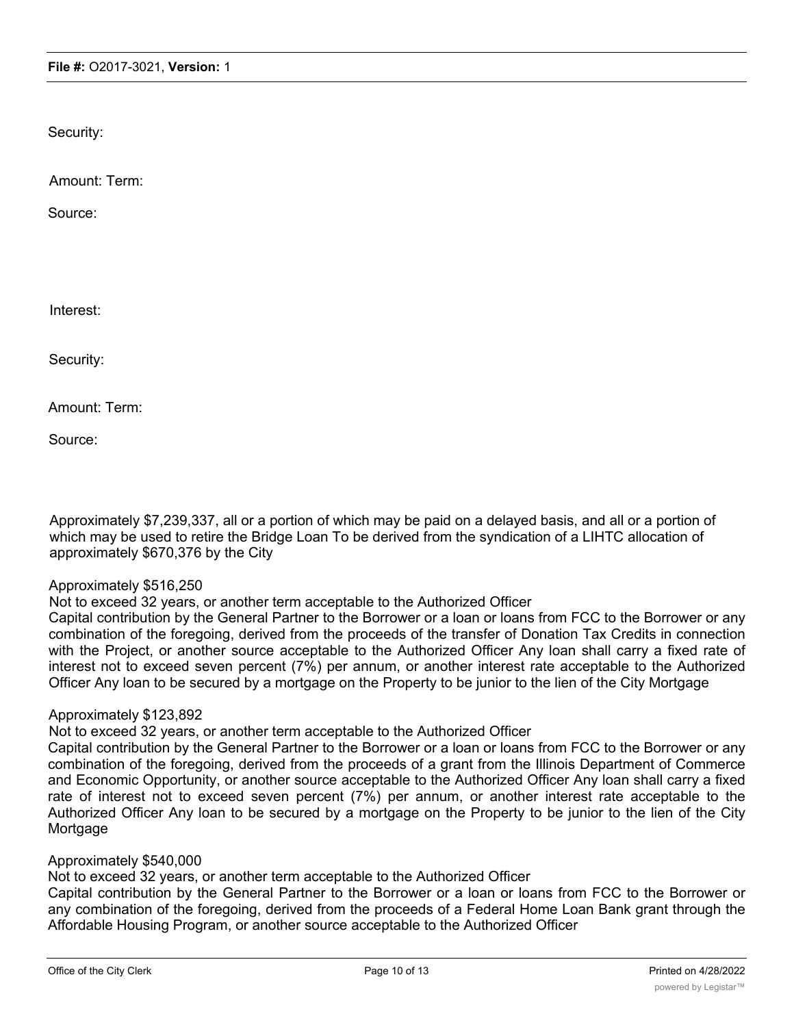Security:

Amount: Term:

Source:

Interest:

Security:

Amount: Term:

Source:

Approximately \$7,239,337, all or a portion of which may be paid on a delayed basis, and all or a portion of which may be used to retire the Bridge Loan To be derived from the syndication of a LIHTC allocation of approximately \$670,376 by the City

#### Approximately \$516,250

Not to exceed 32 years, or another term acceptable to the Authorized Officer

Capital contribution by the General Partner to the Borrower or a loan or loans from FCC to the Borrower or any combination of the foregoing, derived from the proceeds of the transfer of Donation Tax Credits in connection with the Project, or another source acceptable to the Authorized Officer Any loan shall carry a fixed rate of interest not to exceed seven percent (7%) per annum, or another interest rate acceptable to the Authorized Officer Any loan to be secured by a mortgage on the Property to be junior to the lien of the City Mortgage

#### Approximately \$123,892

Not to exceed 32 years, or another term acceptable to the Authorized Officer

Capital contribution by the General Partner to the Borrower or a loan or loans from FCC to the Borrower or any combination of the foregoing, derived from the proceeds of a grant from the Illinois Department of Commerce and Economic Opportunity, or another source acceptable to the Authorized Officer Any loan shall carry a fixed rate of interest not to exceed seven percent (7%) per annum, or another interest rate acceptable to the Authorized Officer Any loan to be secured by a mortgage on the Property to be junior to the lien of the City **Mortgage** 

## Approximately \$540,000

Not to exceed 32 years, or another term acceptable to the Authorized Officer

Capital contribution by the General Partner to the Borrower or a loan or loans from FCC to the Borrower or any combination of the foregoing, derived from the proceeds of a Federal Home Loan Bank grant through the Affordable Housing Program, or another source acceptable to the Authorized Officer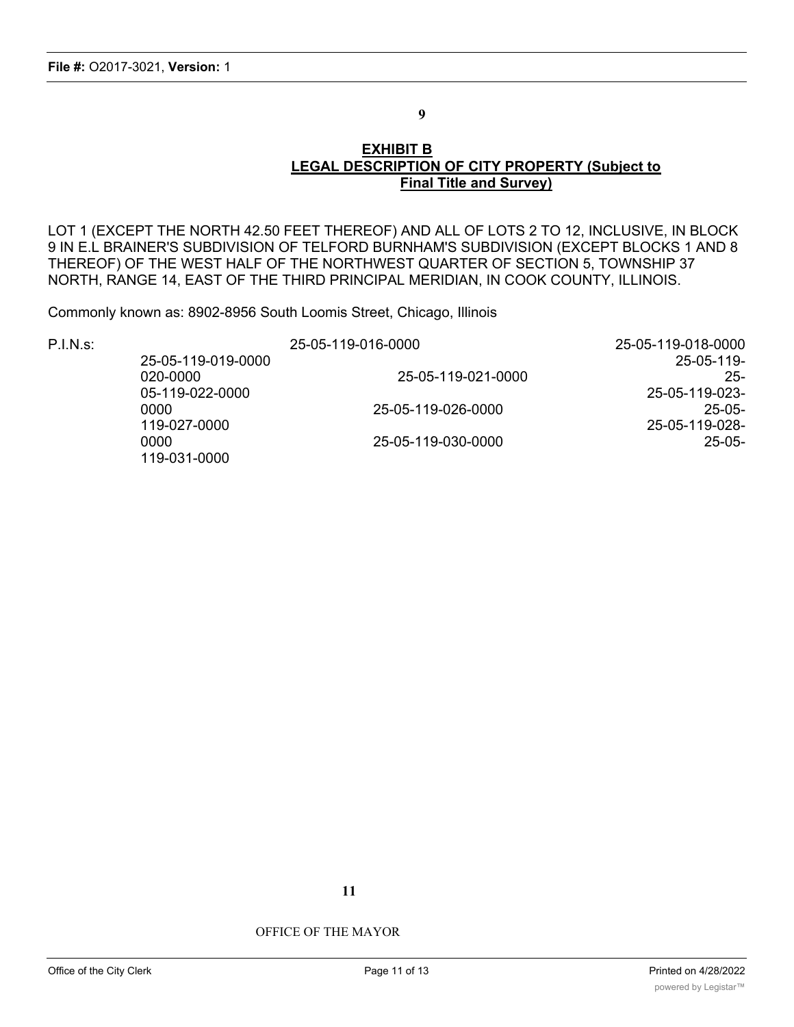**9**

### **EXHIBIT B LEGAL DESCRIPTION OF CITY PROPERTY (Subject to Final Title and Survey)**

LOT 1 (EXCEPT THE NORTH 42.50 FEET THEREOF) AND ALL OF LOTS 2 TO 12, INCLUSIVE, IN BLOCK 9 IN E.L BRAINER'S SUBDIVISION OF TELFORD BURNHAM'S SUBDIVISION (EXCEPT BLOCKS 1 AND 8 THEREOF) OF THE WEST HALF OF THE NORTHWEST QUARTER OF SECTION 5, TOWNSHIP 37 NORTH, RANGE 14, EAST OF THE THIRD PRINCIPAL MERIDIAN, IN COOK COUNTY, ILLINOIS.

Commonly known as: 8902-8956 South Loomis Street, Chicago, Illinois

P.I.N.s: 25-05-119-016-0000 25-05-119-018-0000 25-05-119-019-0000 25-05-119- 020-0000 25-05-119-021-0000 25- 05-119-022-0000 25-05-119-023- 0000 25-05-119-026-0000 25-05- 119-027-0000 25-05-119-028- 0000 25-05-119-030-0000 25-05- 119-031-0000

**11**

CITY OF CHICAGO

OFFICE OF THE MAYOR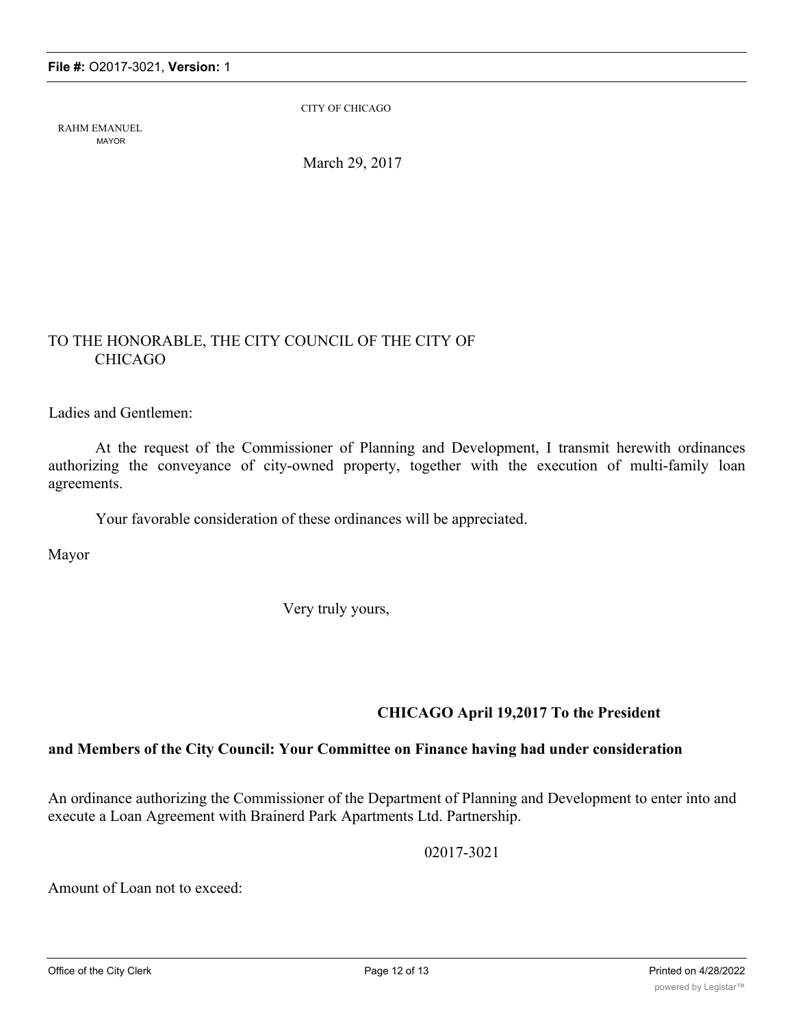RAHM EMANUEL MAYOR

CITY OF CHICAGO

March 29, 2017

# TO THE HONORABLE, THE CITY COUNCIL OF THE CITY OF CHICAGO

Ladies and Gentlemen:

At the request of the Commissioner of Planning and Development, I transmit herewith ordinances authorizing the conveyance of city-owned property, together with the execution of multi-family loan agreements.

Your favorable consideration of these ordinances will be appreciated.

Mayor

Very truly yours,

## **CHICAGO April 19,2017 To the President**

## **and Members of the City Council: Your Committee on Finance having had under consideration**

An ordinance authorizing the Commissioner of the Department of Planning and Development to enter into and execute a Loan Agreement with Brainerd Park Apartments Ltd. Partnership.

02017-3021

Amount of Loan not to exceed: